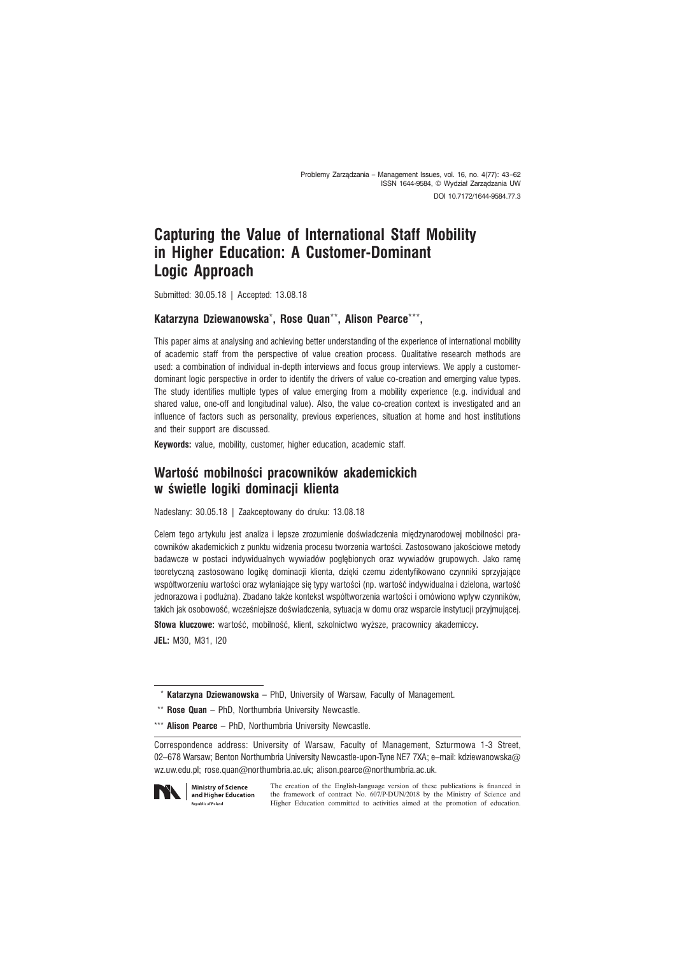Problemy Zarządzania – Management Issues, vol. 16, no. 4(77): 43-62 ISSN 1644-9584, © Wydział Zarządzania UW DOI 10.7172/1644-9584.77.3

# **Capturing the Value of International Staff Mobility in Higher Education: A Customer-Dominant Logic Approach**

Submitted: 30.05.18 | Accepted: 13.08.18

#### **Katarzyna Dziewanowska**\***, Rose Quan**\*\***, Alison Pearce**\*\*\***,**

This paper aims at analysing and achieving better understanding of the experience of international mobility of academic staff from the perspective of value creation process. Qualitative research methods are used: a combination of individual in-depth interviews and focus group interviews. We apply a customerdominant logic perspective in order to identify the drivers of value co-creation and emerging value types. The study identifies multiple types of value emerging from a mobility experience (e.g. individual and shared value, one-off and longitudinal value). Also, the value co-creation context is investigated and an influence of factors such as personality, previous experiences, situation at home and host institutions and their support are discussed.

**Keywords:** value, mobility, customer, higher education, academic staff.

# **WartoĂÊ mobilnoĂci pracowników akademickich w Ăwietle logiki dominacji klienta**

Nadesłany: 30.05.18 | Zaakceptowany do druku: 13.08.18

Celem tego artykułu jest analiza i lepsze zrozumienie doświadczenia miedzynarodowej mobilności pracowników akademickich z punktu widzenia procesu tworzenia wartości. Zastosowano jakościowe metody badawcze w postaci indywidualnych wywiadów pogłębionych oraz wywiadów grupowych. Jako ramę teoretyczną zastosowano logikę dominacji klienta, dzięki czemu zidentyfikowano czynniki sprzyjające współtworzeniu wartości oraz wyłaniające się typy wartości (np. wartość indywidualna i dzielona, wartość jednorazowa i podłużna). Zbadano także kontekst współtworzenia wartości i omówiono wpływ czynników, takich jak osobowość, wcześniejsze doświadczenia, sytuacja w domu oraz wsparcie instytucji przyjmującej.

**Słowa kluczowe:** wartość, mobilność, klient, szkolnictwo wyższe, pracownicy akademiccy. **JEL:** M30, M31, I20

Correspondence address: University of Warsaw, Faculty of Management, Szturmowa 1-3 Street, 02–678 Warsaw; Benton Northumbria University Newcastle-upon-Tyne NE7 7XA; e–mail: kdziewanowska@ wz.uw.edu.pl; rose.quan@northumbria.ac.uk; alison.pearce@northumbria.ac.uk.



The creation of the English-language version of these publications is financed in the framework of contract No. 607/P-DUN/2018 by the Ministry of Science and Higher Education committed to activities aimed at the promotion of education.

 <sup>\*</sup> **Katarzyna Dziewanowska** – PhD, University of Warsaw, Faculty of Management.

 <sup>\*\*</sup> **Rose Quan** – PhD, Northumbria University Newcastle.

<sup>\*\*\*</sup> **Alison Pearce** – PhD, Northumbria University Newcastle.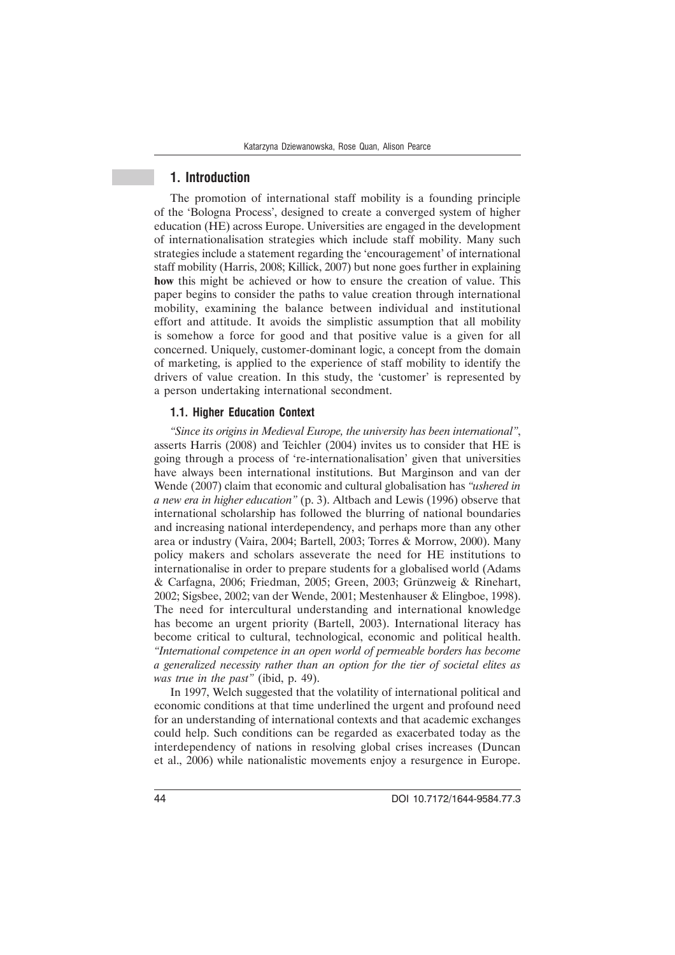### **1. Introduction**

The promotion of international staff mobility is a founding principle of the 'Bologna Process', designed to create a converged system of higher education (HE) across Europe. Universities are engaged in the development of internationalisation strategies which include staff mobility. Many such strategies include a statement regarding the 'encouragement' of international staff mobility (Harris, 2008; Killick, 2007) but none goes further in explaining **how** this might be achieved or how to ensure the creation of value. This paper begins to consider the paths to value creation through international mobility, examining the balance between individual and institutional effort and attitude. It avoids the simplistic assumption that all mobility is somehow a force for good and that positive value is a given for all concerned. Uniquely, customer-dominant logic, a concept from the domain of marketing, is applied to the experience of staff mobility to identify the drivers of value creation. In this study, the 'customer' is represented by a person undertaking international secondment.

#### **1.1. Higher Education Context**

*"Since its origins in Medieval Europe, the university has been international"*, asserts Harris (2008) and Teichler (2004) invites us to consider that HE is going through a process of 're-internationalisation' given that universities have always been international institutions. But Marginson and van der Wende (2007) claim that economic and cultural globalisation has *"ushered in a new era in higher education"* (p. 3). Altbach and Lewis (1996) observe that international scholarship has followed the blurring of national boundaries and increasing national interdependency, and perhaps more than any other area or industry (Vaira, 2004; Bartell, 2003; Torres & Morrow, 2000). Many policy makers and scholars asseverate the need for HE institutions to internationalise in order to prepare students for a globalised world (Adams & Carfagna, 2006; Friedman, 2005; Green, 2003; Grünzweig & Rinehart, 2002; Sigsbee, 2002; van der Wende, 2001; Mestenhauser & Elingboe, 1998). The need for intercultural understanding and international knowledge has become an urgent priority (Bartell, 2003). International literacy has become critical to cultural, technological, economic and political health. *"International competence in an open world of permeable borders has become a generalized necessity rather than an option for the tier of societal elites as was true in the past"* (ibid, p. 49).

In 1997, Welch suggested that the volatility of international political and economic conditions at that time underlined the urgent and profound need for an understanding of international contexts and that academic exchanges could help. Such conditions can be regarded as exacerbated today as the interdependency of nations in resolving global crises increases (Duncan et al., 2006) while nationalistic movements enjoy a resurgence in Europe.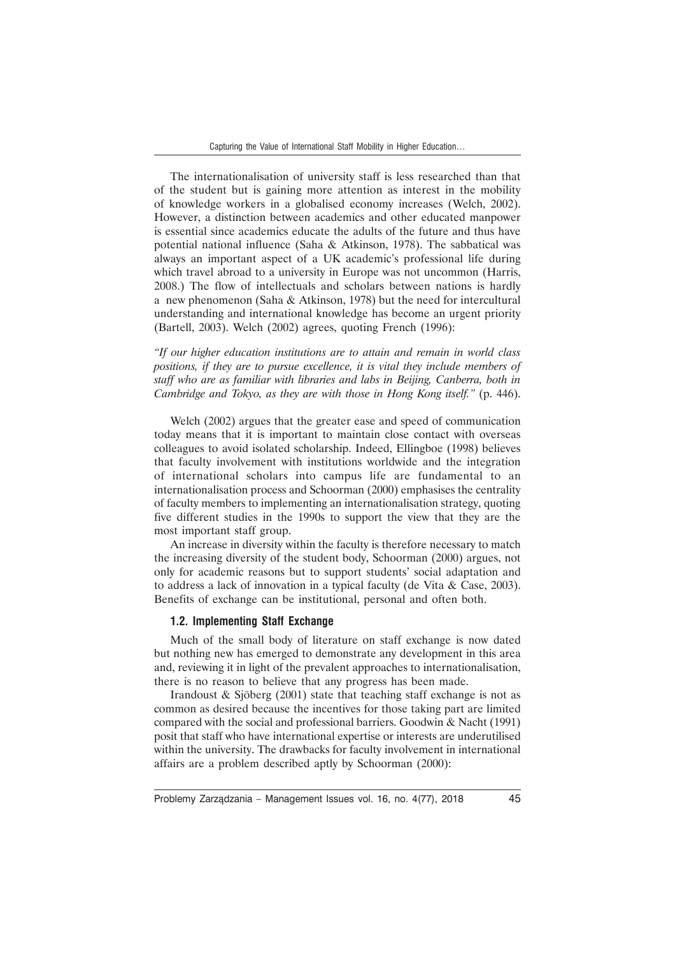The internationalisation of university staff is less researched than that of the student but is gaining more attention as interest in the mobility of knowledge workers in a globalised economy increases (Welch, 2002). However, a distinction between academics and other educated manpower is essential since academics educate the adults of the future and thus have potential national influence (Saha & Atkinson, 1978). The sabbatical was always an important aspect of a UK academic's professional life during which travel abroad to a university in Europe was not uncommon (Harris, 2008.) The flow of intellectuals and scholars between nations is hardly a new phenomenon (Saha & Atkinson, 1978) but the need for intercultural understanding and international knowledge has become an urgent priority (Bartell, 2003). Welch (2002) agrees, quoting French (1996):

*"If our higher education institutions are to attain and remain in world class positions, if they are to pursue excellence, it is vital they include members of staff who are as familiar with libraries and labs in Beijing, Canberra, both in Cambridge and Tokyo, as they are with those in Hong Kong itself."* (p. 446).

Welch (2002) argues that the greater ease and speed of communication today means that it is important to maintain close contact with overseas colleagues to avoid isolated scholarship. Indeed, Ellingboe (1998) believes that faculty involvement with institutions worldwide and the integration of international scholars into campus life are fundamental to an internationalisation process and Schoorman (2000) emphasises the centrality of faculty members to implementing an internationalisation strategy, quoting five different studies in the 1990s to support the view that they are the most important staff group.

An increase in diversity within the faculty is therefore necessary to match the increasing diversity of the student body, Schoorman (2000) argues, not only for academic reasons but to support students' social adaptation and to address a lack of innovation in a typical faculty (de Vita & Case, 2003). Benefits of exchange can be institutional, personal and often both.

### **1.2. Implementing Staff Exchange**

Much of the small body of literature on staff exchange is now dated but nothing new has emerged to demonstrate any development in this area and, reviewing it in light of the prevalent approaches to internationalisation, there is no reason to believe that any progress has been made.

Irandoust & Sjöberg (2001) state that teaching staff exchange is not as common as desired because the incentives for those taking part are limited compared with the social and professional barriers. Goodwin & Nacht (1991) posit that staff who have international expertise or interests are underutilised within the university. The drawbacks for faculty involvement in international affairs are a problem described aptly by Schoorman (2000):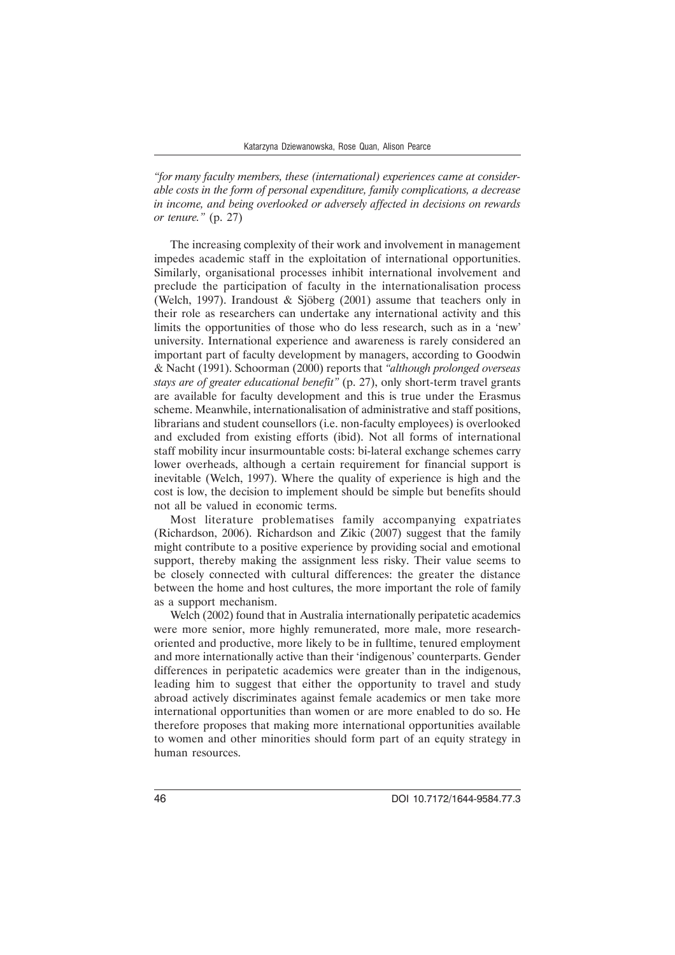*"for many faculty members, these (international) experiences came at considerable costs in the form of personal expenditure, family complications, a decrease in income, and being overlooked or adversely affected in decisions on rewards or tenure."* (p. 27)

The increasing complexity of their work and involvement in management impedes academic staff in the exploitation of international opportunities. Similarly, organisational processes inhibit international involvement and preclude the participation of faculty in the internationalisation process (Welch, 1997). Irandoust & Sjöberg (2001) assume that teachers only in their role as researchers can undertake any international activity and this limits the opportunities of those who do less research, such as in a 'new' university. International experience and awareness is rarely considered an important part of faculty development by managers, according to Goodwin & Nacht (1991). Schoorman (2000) reports that *"although prolonged overseas stays are of greater educational benefit"* (p. 27), only short-term travel grants are available for faculty development and this is true under the Erasmus scheme. Meanwhile, internationalisation of administrative and staff positions, librarians and student counsellors (i.e. non-faculty employees) is overlooked and excluded from existing efforts (ibid). Not all forms of international staff mobility incur insurmountable costs: bi-lateral exchange schemes carry lower overheads, although a certain requirement for financial support is inevitable (Welch, 1997). Where the quality of experience is high and the cost is low, the decision to implement should be simple but benefits should not all be valued in economic terms.

Most literature problematises family accompanying expatriates (Richardson, 2006). Richardson and Zikic (2007) suggest that the family might contribute to a positive experience by providing social and emotional support, thereby making the assignment less risky. Their value seems to be closely connected with cultural differences: the greater the distance between the home and host cultures, the more important the role of family as a support mechanism.

Welch (2002) found that in Australia internationally peripatetic academics were more senior, more highly remunerated, more male, more researchoriented and productive, more likely to be in fulltime, tenured employment and more internationally active than their 'indigenous' counterparts. Gender differences in peripatetic academics were greater than in the indigenous, leading him to suggest that either the opportunity to travel and study abroad actively discriminates against female academics or men take more international opportunities than women or are more enabled to do so. He therefore proposes that making more international opportunities available to women and other minorities should form part of an equity strategy in human resources.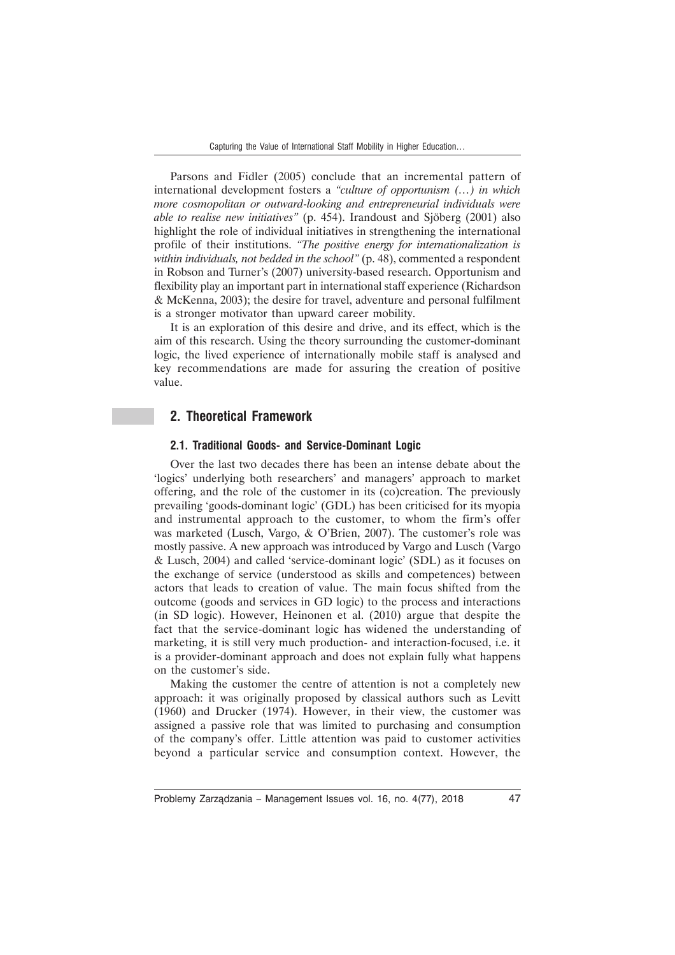Parsons and Fidler (2005) conclude that an incremental pattern of international development fosters a *"culture of opportunism (…) in which more cosmopolitan or outward-looking and entrepreneurial individuals were able to realise new initiatives"* (p. 454). Irandoust and Sjöberg (2001) also highlight the role of individual initiatives in strengthening the international profile of their institutions. *"The positive energy for internationalization is within individuals, not bedded in the school"* (p. 48), commented a respondent in Robson and Turner's (2007) university-based research. Opportunism and flexibility play an important part in international staff experience (Richardson & McKenna, 2003); the desire for travel, adventure and personal fulfilment is a stronger motivator than upward career mobility.

It is an exploration of this desire and drive, and its effect, which is the aim of this research. Using the theory surrounding the customer-dominant logic, the lived experience of internationally mobile staff is analysed and key recommendations are made for assuring the creation of positive value.

### **2. Theoretical Framework**

#### **2.1. Traditional Goods- and Service-Dominant Logic**

Over the last two decades there has been an intense debate about the 'logics' underlying both researchers' and managers' approach to market offering, and the role of the customer in its (co)creation. The previously prevailing 'goods-dominant logic' (GDL) has been criticised for its myopia and instrumental approach to the customer, to whom the firm's offer was marketed (Lusch, Vargo, & O'Brien, 2007). The customer's role was mostly passive. A new approach was introduced by Vargo and Lusch (Vargo & Lusch, 2004) and called 'service-dominant logic' (SDL) as it focuses on the exchange of service (understood as skills and competences) between actors that leads to creation of value. The main focus shifted from the outcome (goods and services in GD logic) to the process and interactions (in SD logic). However, Heinonen et al. (2010) argue that despite the fact that the service-dominant logic has widened the understanding of marketing, it is still very much production- and interaction-focused, i.e. it is a provider-dominant approach and does not explain fully what happens on the customer's side.

Making the customer the centre of attention is not a completely new approach: it was originally proposed by classical authors such as Levitt (1960) and Drucker (1974). However, in their view, the customer was assigned a passive role that was limited to purchasing and consumption of the company's offer. Little attention was paid to customer activities beyond a particular service and consumption context. However, the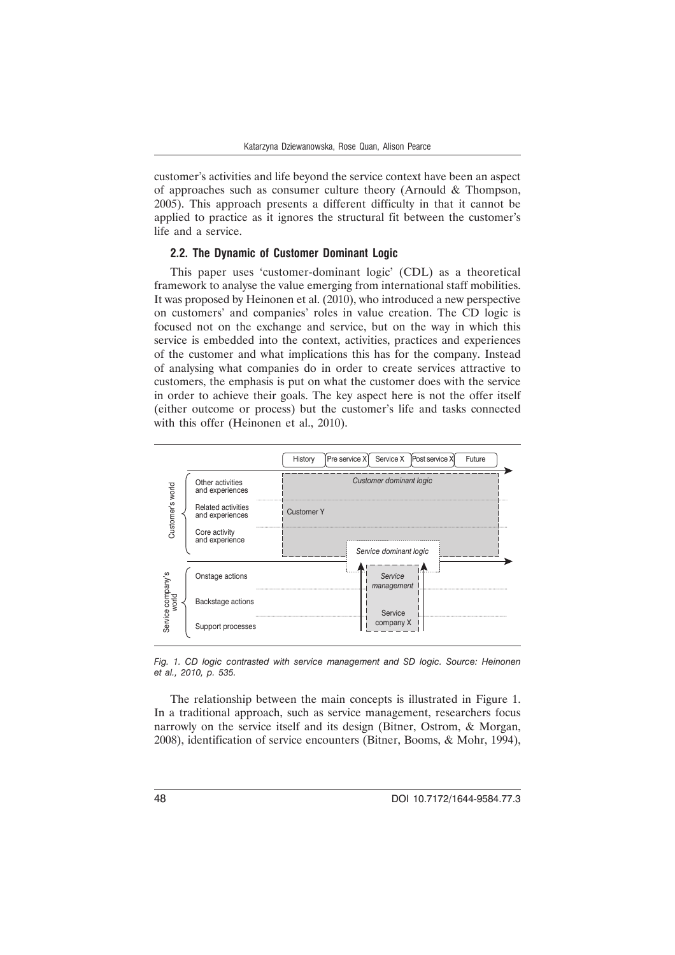customer's activities and life beyond the service context have been an aspect of approaches such as consumer culture theory (Arnould & Thompson, 2005). This approach presents a different difficulty in that it cannot be applied to practice as it ignores the structural fit between the customer's life and a service.

#### **2.2. The Dynamic of Customer Dominant Logic**

This paper uses 'customer-dominant logic' (CDL) as a theoretical framework to analyse the value emerging from international staff mobilities. It was proposed by Heinonen et al. (2010), who introduced a new perspective on customers' and companies' roles in value creation. The CD logic is focused not on the exchange and service, but on the way in which this service is embedded into the context, activities, practices and experiences of the customer and what implications this has for the company. Instead of analysing what companies do in order to create services attractive to customers, the emphasis is put on what the customer does with the service in order to achieve their goals. The key aspect here is not the offer itself (either outcome or process) but the customer's life and tasks connected with this offer (Heinonen et al., 2010).



*Fig. 1. CD logic contrasted with service management and SD logic. Source: Heinonen et al., 2010, p. 535.*

The relationship between the main concepts is illustrated in Figure 1. In a traditional approach, such as service management, researchers focus narrowly on the service itself and its design (Bitner, Ostrom, & Morgan, 2008), identification of service encounters (Bitner, Booms, & Mohr, 1994),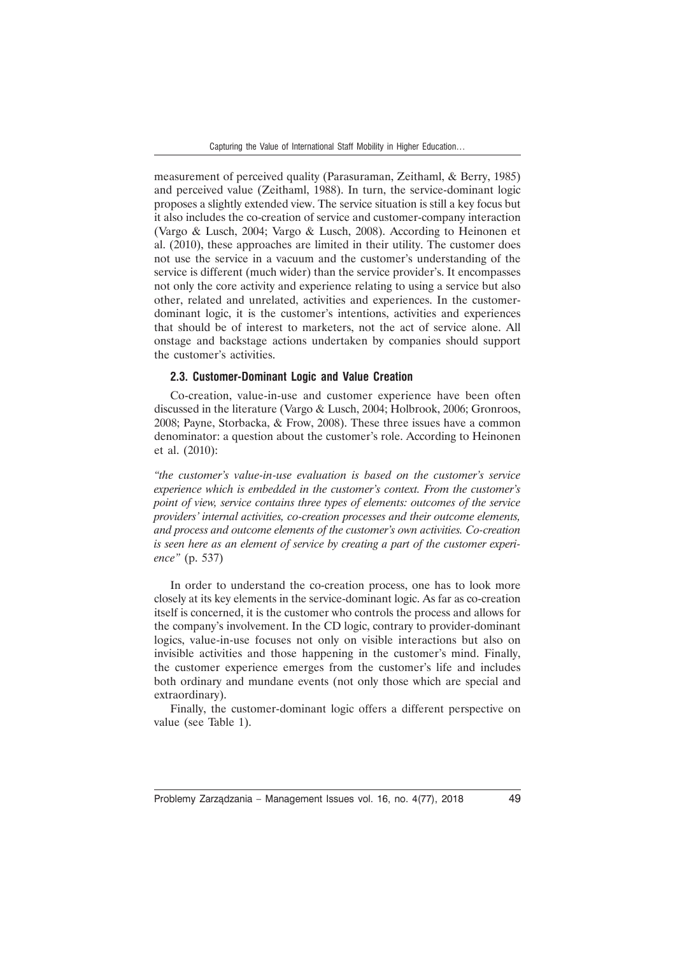measurement of perceived quality (Parasuraman, Zeithaml, & Berry, 1985) and perceived value (Zeithaml, 1988). In turn, the service-dominant logic proposes a slightly extended view. The service situation is still a key focus but it also includes the co-creation of service and customer-company interaction (Vargo & Lusch, 2004; Vargo & Lusch, 2008). According to Heinonen et al. (2010), these approaches are limited in their utility. The customer does not use the service in a vacuum and the customer's understanding of the service is different (much wider) than the service provider's. It encompasses not only the core activity and experience relating to using a service but also other, related and unrelated, activities and experiences. In the customerdominant logic, it is the customer's intentions, activities and experiences that should be of interest to marketers, not the act of service alone. All onstage and backstage actions undertaken by companies should support the customer's activities.

#### **2.3. Customer-Dominant Logic and Value Creation**

Co-creation, value-in-use and customer experience have been often discussed in the literature (Vargo & Lusch, 2004; Holbrook, 2006; Gronroos, 2008; Payne, Storbacka, & Frow, 2008). These three issues have a common denominator: a question about the customer's role. According to Heinonen et al. (2010):

*"the customer's value-in-use evaluation is based on the customer's service experience which is embedded in the customer's context. From the customer's point of view, service contains three types of elements: outcomes of the service providers' internal activities, co-creation processes and their outcome elements, and process and outcome elements of the customer's own activities. Co-creation is seen here as an element of service by creating a part of the customer experience"* (p. 537)

In order to understand the co-creation process, one has to look more closely at its key elements in the service-dominant logic. As far as co-creation itself is concerned, it is the customer who controls the process and allows for the company's involvement. In the CD logic, contrary to provider-dominant logics, value-in-use focuses not only on visible interactions but also on invisible activities and those happening in the customer's mind. Finally, the customer experience emerges from the customer's life and includes both ordinary and mundane events (not only those which are special and extraordinary).

Finally, the customer-dominant logic offers a different perspective on value (see Table 1).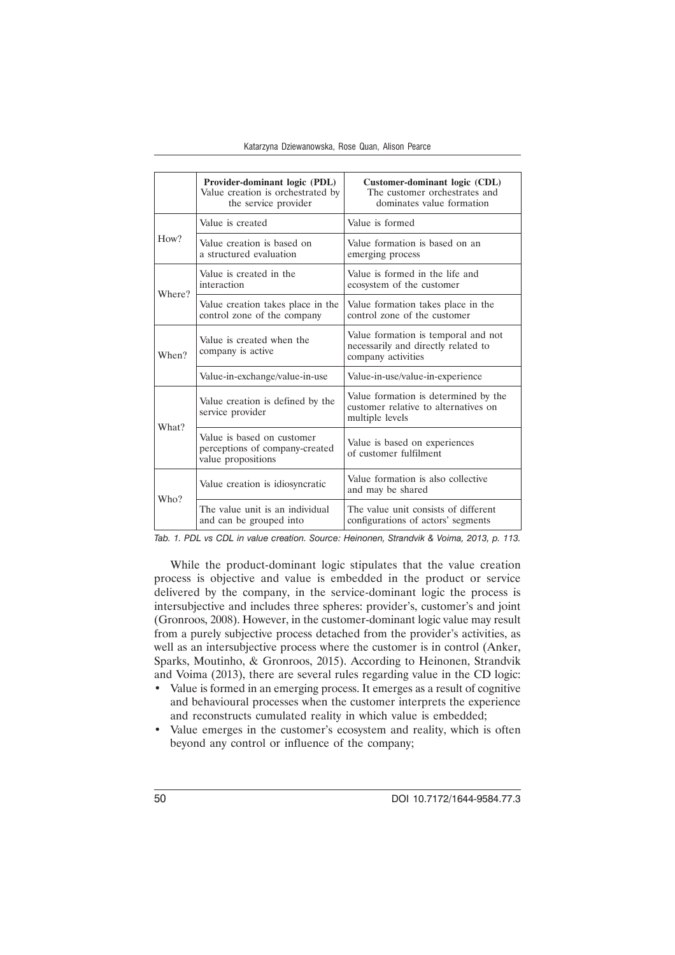|        | Provider-dominant logic (PDL)<br>Value creation is orchestrated by<br>the service provider | Customer-dominant logic (CDL)<br>The customer orchestrates and<br>dominates value formation      |  |
|--------|--------------------------------------------------------------------------------------------|--------------------------------------------------------------------------------------------------|--|
| How?   | Value is created                                                                           | Value is formed                                                                                  |  |
|        | Value creation is based on<br>a structured evaluation                                      | Value formation is based on an<br>emerging process                                               |  |
| Where? | Value is created in the<br>interaction                                                     | Value is formed in the life and<br>ecosystem of the customer                                     |  |
|        | Value creation takes place in the<br>control zone of the company                           | Value formation takes place in the<br>control zone of the customer                               |  |
| When?  | Value is created when the<br>company is active                                             | Value formation is temporal and not<br>necessarily and directly related to<br>company activities |  |
|        | Value-in-exchange/value-in-use                                                             | Value-in-use/value-in-experience                                                                 |  |
| What?  | Value creation is defined by the<br>service provider                                       | Value formation is determined by the<br>customer relative to alternatives on<br>multiple levels  |  |
|        | Value is based on customer<br>perceptions of company-created<br>value propositions         | Value is based on experiences<br>of customer fulfilment                                          |  |
| Who?   | Value creation is idiosyncratic                                                            | Value formation is also collective<br>and may be shared                                          |  |
|        | The value unit is an individual<br>and can be grouped into                                 | The value unit consists of different<br>configurations of actors' segments                       |  |

*Tab. 1. PDL vs CDL in value creation. Source: Heinonen, Strandvik & Voima, 2013, p. 113.*

While the product-dominant logic stipulates that the value creation process is objective and value is embedded in the product or service delivered by the company, in the service-dominant logic the process is intersubjective and includes three spheres: provider's, customer's and joint (Gronroos, 2008). However, in the customer-dominant logic value may result from a purely subjective process detached from the provider's activities, as well as an intersubjective process where the customer is in control (Anker, Sparks, Moutinho, & Gronroos, 2015). According to Heinonen, Strandvik and Voima (2013), there are several rules regarding value in the CD logic:

- Value is formed in an emerging process. It emerges as a result of cognitive and behavioural processes when the customer interprets the experience and reconstructs cumulated reality in which value is embedded;
- Value emerges in the customer's ecosystem and reality, which is often beyond any control or influence of the company;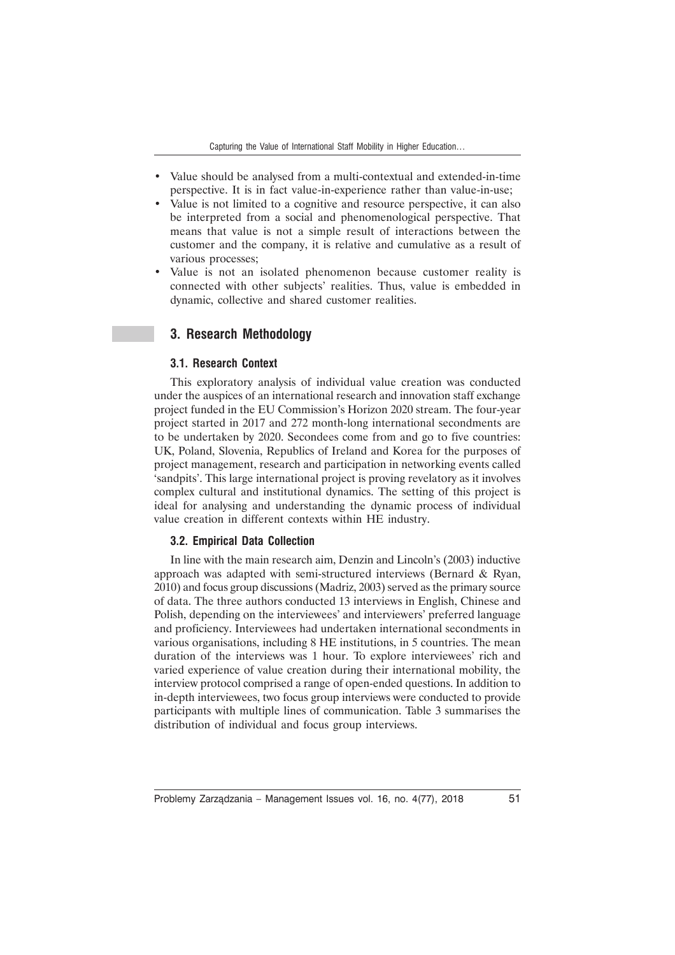- Value should be analysed from a multi-contextual and extended-in-time perspective. It is in fact value-in-experience rather than value-in-use;
- Value is not limited to a cognitive and resource perspective, it can also be interpreted from a social and phenomenological perspective. That means that value is not a simple result of interactions between the customer and the company, it is relative and cumulative as a result of various processes;
- Value is not an isolated phenomenon because customer reality is connected with other subjects' realities. Thus, value is embedded in dynamic, collective and shared customer realities.

# **3. Research Methodology**

### **3.1. Research Context**

This exploratory analysis of individual value creation was conducted under the auspices of an international research and innovation staff exchange project funded in the EU Commission's Horizon 2020 stream. The four-year project started in 2017 and 272 month-long international secondments are to be undertaken by 2020. Secondees come from and go to five countries: UK, Poland, Slovenia, Republics of Ireland and Korea for the purposes of project management, research and participation in networking events called 'sandpits'. This large international project is proving revelatory as it involves complex cultural and institutional dynamics. The setting of this project is ideal for analysing and understanding the dynamic process of individual value creation in different contexts within HE industry.

#### **3.2. Empirical Data Collection**

In line with the main research aim, Denzin and Lincoln's (2003) inductive approach was adapted with semi-structured interviews (Bernard & Ryan, 2010) and focus group discussions (Madriz, 2003) served as the primary source of data. The three authors conducted 13 interviews in English, Chinese and Polish, depending on the interviewees' and interviewers' preferred language and proficiency. Interviewees had undertaken international secondments in various organisations, including 8 HE institutions, in 5 countries. The mean duration of the interviews was 1 hour. To explore interviewees' rich and varied experience of value creation during their international mobility, the interview protocol comprised a range of open-ended questions. In addition to in-depth interviewees, two focus group interviews were conducted to provide participants with multiple lines of communication. Table 3 summarises the distribution of individual and focus group interviews.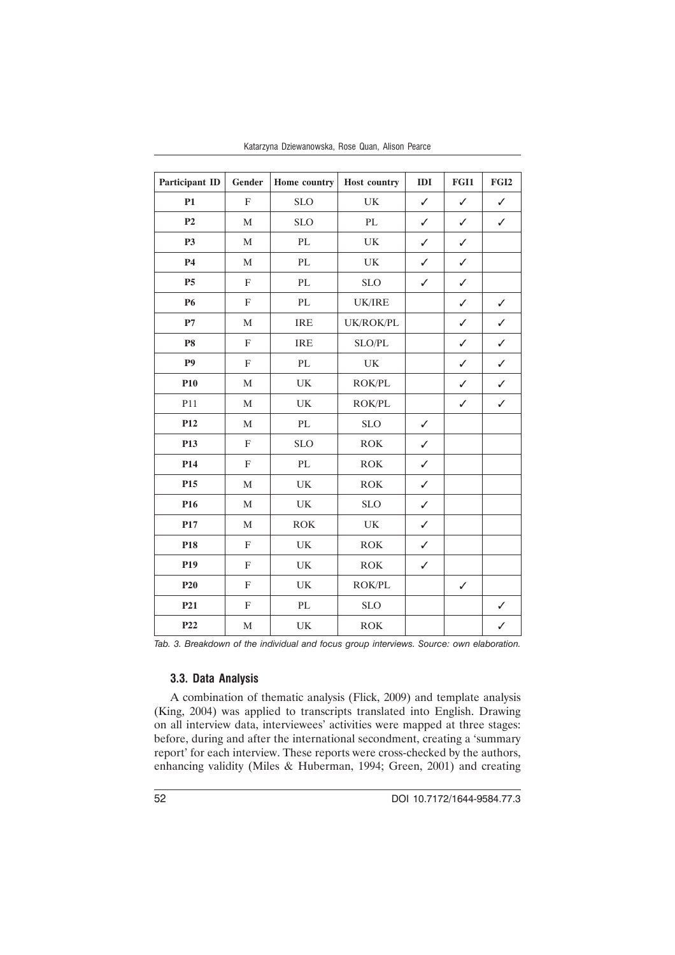| <b>Participant ID</b> | Gender                    | Home country                      | Host country                      | IDI          | FGI1         | FGI <sub>2</sub> |
|-----------------------|---------------------------|-----------------------------------|-----------------------------------|--------------|--------------|------------------|
| P1                    | $\rm F$                   | <b>SLO</b>                        | $\ensuremath{\mathrm{UK}}\xspace$ | $\checkmark$ | $\checkmark$ | $\checkmark$     |
| P <sub>2</sub>        | $\mathbf M$               | <b>SLO</b>                        | PL                                | ✓            | $\checkmark$ | $\checkmark$     |
| <b>P3</b>             | $\mathbf M$               | $\mathbf{PL}$                     | $\ensuremath{\mathrm{UK}}\xspace$ | $\checkmark$ | $\checkmark$ |                  |
| <b>P4</b>             | $\mathbf M$               | PL                                | $\ensuremath{\mathrm{UK}}\xspace$ | ✓            | $\checkmark$ |                  |
| P <sub>5</sub>        | $\mathbf F$               | $\mathbf{PL}$                     | <b>SLO</b>                        | $\checkmark$ | $\checkmark$ |                  |
| <b>P6</b>             | $\boldsymbol{\mathrm{F}}$ | $\mathbf{PL}$                     | <b>UK/IRE</b>                     |              | $\checkmark$ | $\checkmark$     |
| $\mathbf{P}7$         | $\mathbf M$               | IRE                               | UK/ROK/PL                         |              | $\checkmark$ | $\checkmark$     |
| ${\bf P8}$            | $\mathbf F$               | <b>IRE</b>                        | SLO/PL                            |              | $\checkmark$ | $\checkmark$     |
| <b>P9</b>             | $\mathbf F$               | $\mathbf{PL}$                     | $\ensuremath{\text{UK}}\xspace$   |              | $\checkmark$ | ✓                |
| <b>P10</b>            | $\mathbf{M}$              | UK                                | ROK/PL                            |              | $\checkmark$ | $\checkmark$     |
| P11                   | $\mathbf M$               | $\ensuremath{\text{UK}}\xspace$   | ROK/PL                            |              | $\checkmark$ | $\checkmark$     |
| P <sub>12</sub>       | $\mathbf M$               | PL                                | <b>SLO</b>                        | $\checkmark$ |              |                  |
| P13                   | $\rm F$                   | <b>SLO</b>                        | ROK                               | $\checkmark$ |              |                  |
| P14                   | $\mathbf F$               | $\mathbf{PL}$                     | <b>ROK</b>                        | $\checkmark$ |              |                  |
| P15                   | $\mathbf M$               | $\ensuremath{\mathrm{UK}}\xspace$ | ROK                               | $\checkmark$ |              |                  |
| P <sub>16</sub>       | $\mathbf M$               | UK                                | <b>SLO</b>                        | $\checkmark$ |              |                  |
| P17                   | $\mathbf M$               | ROK                               | ${\rm UK}$                        | $\checkmark$ |              |                  |
| P18                   | $\mathbf F$               | $\ensuremath{\mathrm{UK}}\xspace$ | ROK                               | ✓            |              |                  |
| P <sub>19</sub>       | $\rm F$                   | $\ensuremath{\text{UK}}\xspace$   | $\rm{ROK}$                        | ✓            |              |                  |
| P20                   | $\mathbf F$               | $\ensuremath{\mathrm{UK}}\xspace$ | <b>ROK/PL</b>                     |              | $\checkmark$ |                  |
| P <sub>21</sub>       | $\boldsymbol{\mathrm{F}}$ | $\mathbf{PL}$                     | $\rm SLO$                         |              |              | ✓                |
| P <sub>22</sub>       | $\mathbf M$               | UK                                | ROK                               |              |              | ✓                |

Katarzyna Dziewanowska, Rose Quan, Alison Pearce

*Tab. 3. Breakdown of the individual and focus group interviews. Source: own elaboration.*

# **3.3. Data Analysis**

A combination of thematic analysis (Flick, 2009) and template analysis (King, 2004) was applied to transcripts translated into English. Drawing on all interview data, interviewees' activities were mapped at three stages: before, during and after the international secondment, creating a 'summary report' for each interview. These reports were cross-checked by the authors, enhancing validity (Miles & Huberman, 1994; Green, 2001) and creating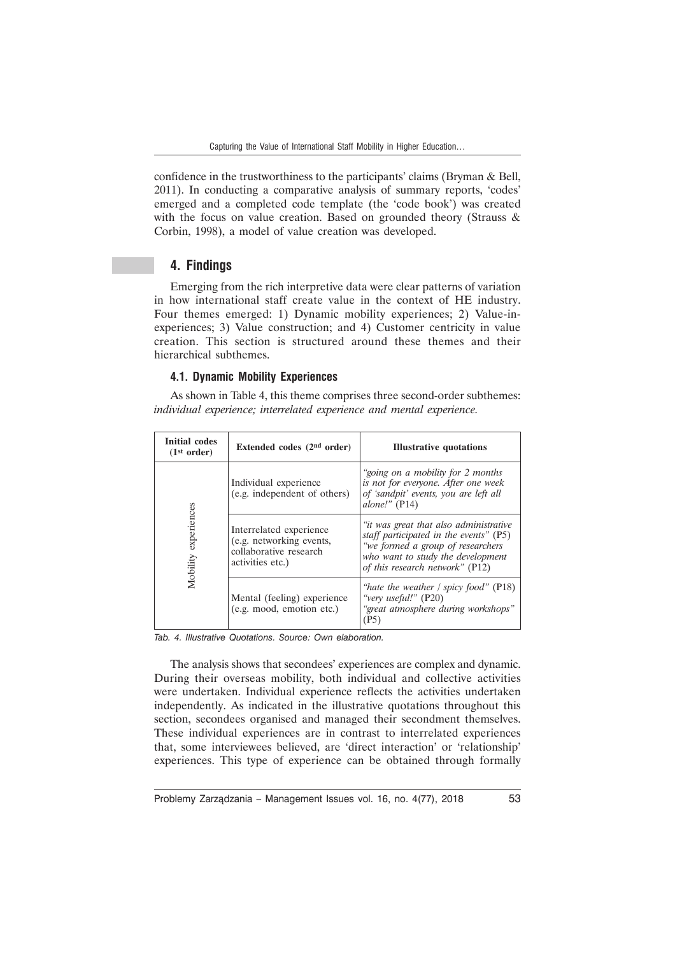confidence in the trustworthiness to the participants' claims (Bryman & Bell, 2011). In conducting a comparative analysis of summary reports, 'codes' emerged and a completed code template (the 'code book') was created with the focus on value creation. Based on grounded theory (Strauss & Corbin, 1998), a model of value creation was developed.

### **4. Findings**

Emerging from the rich interpretive data were clear patterns of variation in how international staff create value in the context of HE industry. Four themes emerged: 1) Dynamic mobility experiences; 2) Value-inexperiences; 3) Value construction; and 4) Customer centricity in value creation. This section is structured around these themes and their hierarchical subthemes.

#### **4.1. Dynamic Mobility Experiences**

As shown in Table 4, this theme comprises three second-order subthemes: *individual experience; interrelated experience and mental experience.*

| Initial codes<br>(1 <sup>st</sup> order) | Extended codes $(2nd order)$                                                                      | <b>Illustrative quotations</b>                                                                                                                                                                |
|------------------------------------------|---------------------------------------------------------------------------------------------------|-----------------------------------------------------------------------------------------------------------------------------------------------------------------------------------------------|
|                                          | Individual experience<br>(e.g. independent of others)                                             | "going on a mobility for 2 months"<br>is not for everyone. After one week<br>of 'sandpit' events, you are left all<br>alone!" $(P14)$                                                         |
| Mobility experiences                     | Interrelated experience<br>(e.g. networking events,<br>collaborative research<br>activities etc.) | "it was great that also administrative<br>staff participated in the events" (P5)<br>"we formed a group of researchers<br>who want to study the development<br>of this research network" (P12) |
|                                          | Mental (feeling) experience<br>(e.g. mood, emotion etc.)                                          | "hate the weather / spicy food" $(P18)$<br>"very useful!" (P20)<br>"great atmosphere during workshops"<br>(P5)                                                                                |

*Tab. 4. Illustrative Quotations. Source: Own elaboration.*

The analysis shows that secondees' experiences are complex and dynamic. During their overseas mobility, both individual and collective activities were undertaken. Individual experience reflects the activities undertaken independently. As indicated in the illustrative quotations throughout this section, secondees organised and managed their secondment themselves. These individual experiences are in contrast to interrelated experiences that, some interviewees believed, are 'direct interaction' or 'relationship' experiences. This type of experience can be obtained through formally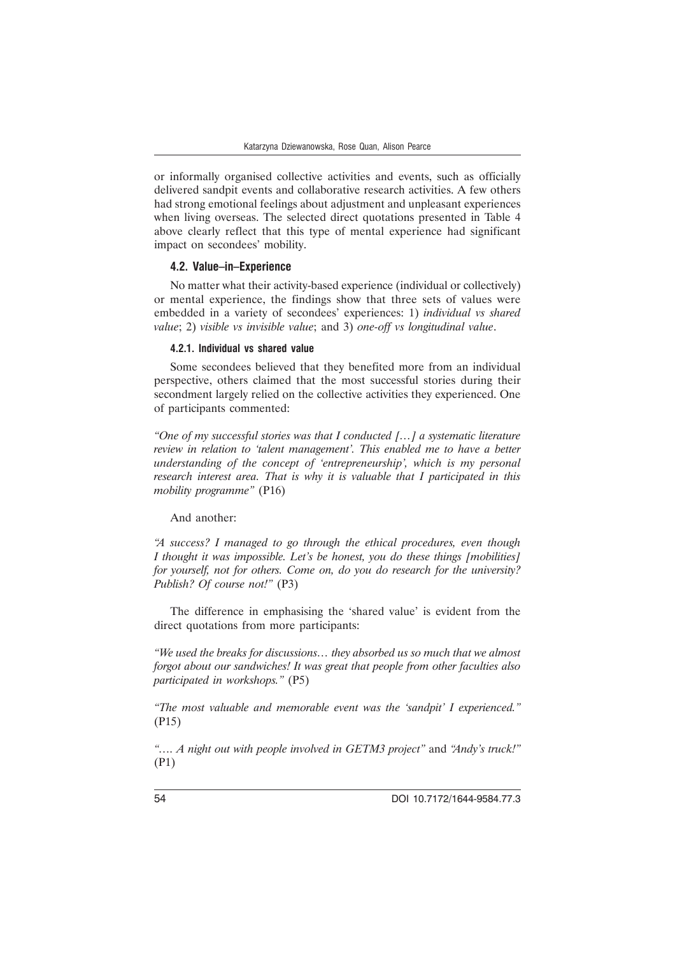or informally organised collective activities and events, such as officially delivered sandpit events and collaborative research activities. A few others had strong emotional feelings about adjustment and unpleasant experiences when living overseas. The selected direct quotations presented in Table 4 above clearly reflect that this type of mental experience had significant impact on secondees' mobility.

#### **4.2. Value–in–Experience**

No matter what their activity-based experience (individual or collectively) or mental experience, the findings show that three sets of values were embedded in a variety of secondees' experiences: 1) *individual vs shared value*; 2) *visible vs invisible value*; and 3) *one-off vs longitudinal value*.

#### **4.2.1. Individual vs shared value**

Some secondees believed that they benefited more from an individual perspective, others claimed that the most successful stories during their secondment largely relied on the collective activities they experienced. One of participants commented:

*"One of my successful stories was that I conducted […] a systematic literature review in relation to 'talent management'. This enabled me to have a better understanding of the concept of 'entrepreneurship', which is my personal research interest area. That is why it is valuable that I participated in this mobility programme"* (P16)

#### And another:

*"A success? I managed to go through the ethical procedures, even though I thought it was impossible. Let's be honest, you do these things [mobilities] for yourself, not for others. Come on, do you do research for the university? Publish? Of course not!"* (P3)

The difference in emphasising the 'shared value' is evident from the direct quotations from more participants:

*"We used the breaks for discussions… they absorbed us so much that we almost forgot about our sandwiches! It was great that people from other faculties also participated in workshops."* (P5)

*"The most valuable and memorable event was the 'sandpit' I experienced."* (P15)

*"…. A night out with people involved in GETM3 project"* and *"Andy's truck!"* (P1)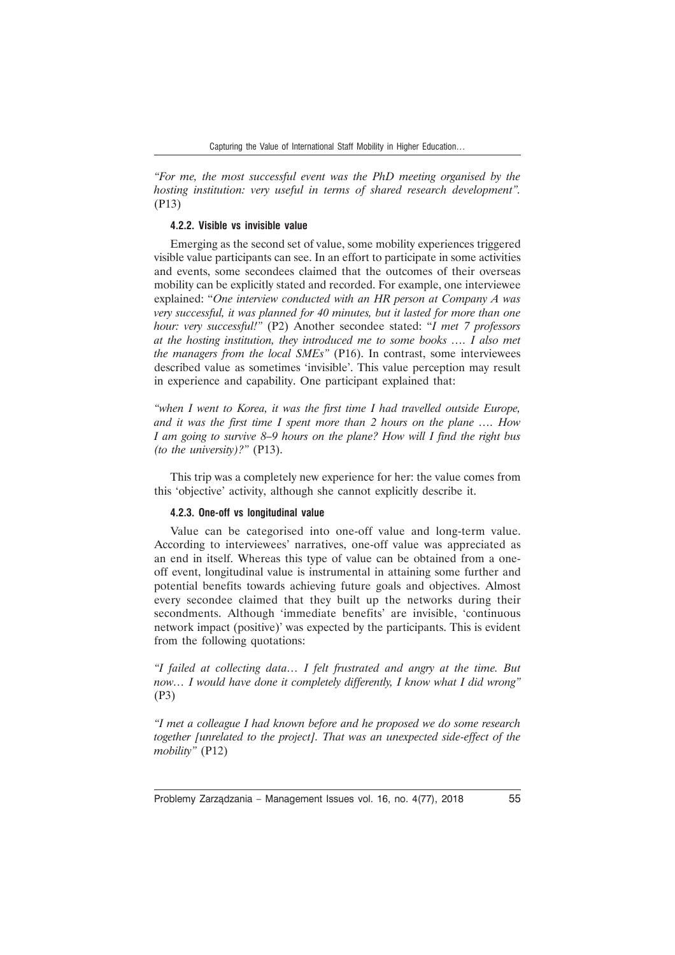*"For me, the most successful event was the PhD meeting organised by the hosting institution: very useful in terms of shared research development".* (P13)

#### **4.2.2. Visible vs invisible value**

Emerging as the second set of value, some mobility experiences triggered visible value participants can see. In an effort to participate in some activities and events, some secondees claimed that the outcomes of their overseas mobility can be explicitly stated and recorded. For example, one interviewee explained: "*One interview conducted with an HR person at Company A was very successful, it was planned for 40 minutes, but it lasted for more than one hour: very successful!"* (P2) Another secondee stated: "*I met 7 professors at the hosting institution, they introduced me to some books …. I also met the managers from the local SMEs"* (P16). In contrast, some interviewees described value as sometimes 'invisible'. This value perception may result in experience and capability. One participant explained that:

*"when I went to Korea, it was the first time I had travelled outside Europe, and it was the first time I spent more than 2 hours on the plane …. How I am going to survive 8–9 hours on the plane? How will I find the right bus (to the university)?"* (P13).

This trip was a completely new experience for her: the value comes from this 'objective' activity, although she cannot explicitly describe it.

#### **4.2.3. One-off vs longitudinal value**

Value can be categorised into one-off value and long-term value. According to interviewees' narratives, one-off value was appreciated as an end in itself. Whereas this type of value can be obtained from a oneoff event, longitudinal value is instrumental in attaining some further and potential benefits towards achieving future goals and objectives. Almost every secondee claimed that they built up the networks during their secondments. Although 'immediate benefits' are invisible, 'continuous network impact (positive)' was expected by the participants. This is evident from the following quotations:

*"I failed at collecting data… I felt frustrated and angry at the time. But now… I would have done it completely differently, I know what I did wrong"* (P3)

*"I met a colleague I had known before and he proposed we do some research together [unrelated to the project]. That was an unexpected side-effect of the mobility"* (P12)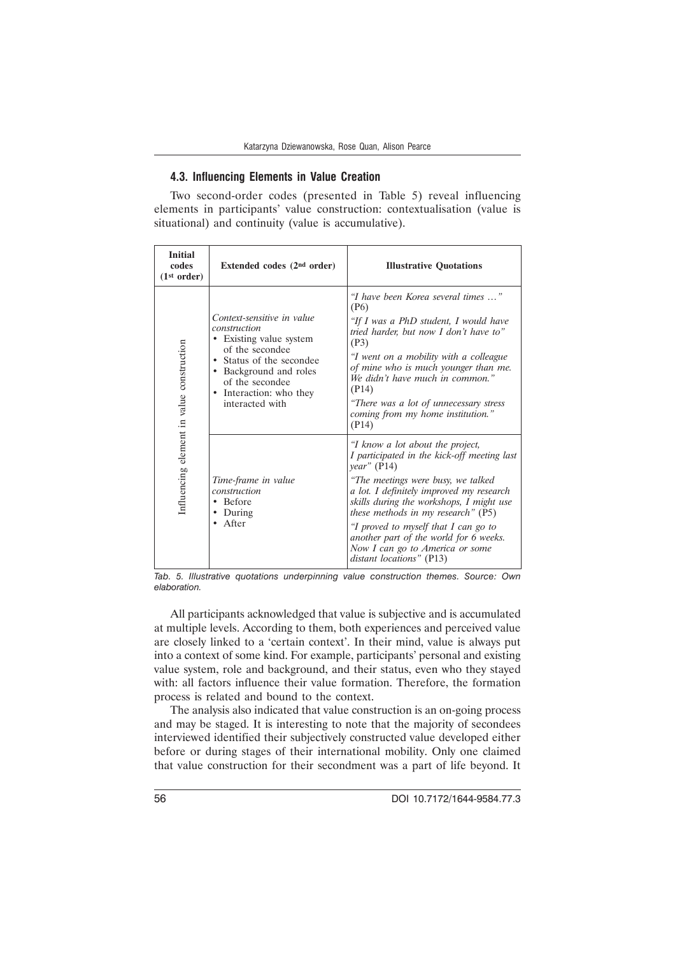### **4.3. Influencing Elements in Value Creation**

Two second-order codes (presented in Table 5) reveal influencing elements in participants' value construction: contextualisation (value is situational) and continuity (value is accumulative).

| <b>Initial</b><br>codes<br>(1 <sup>st</sup> order) | Extended codes $(2nd order)$                                                                                                                                                                              | <b>Illustrative Quotations</b>                                                                                                                                                                                                                                                                                                                                                                                      |
|----------------------------------------------------|-----------------------------------------------------------------------------------------------------------------------------------------------------------------------------------------------------------|---------------------------------------------------------------------------------------------------------------------------------------------------------------------------------------------------------------------------------------------------------------------------------------------------------------------------------------------------------------------------------------------------------------------|
| Influencing element in value construction          | Context-sensitive in value<br>construction<br>• Existing value system<br>of the secondee<br>Status of the secondee<br>Background and roles<br>of the secondee<br>Interaction: who they<br>interacted with | "I have been Korea several times "<br>(P6)<br>"If I was a PhD student, I would have<br>tried harder, but now I don't have to"<br>(P3)<br>"I went on a mobility with a colleague<br>of mine who is much younger than me.<br>We didn't have much in common."<br>(P14)<br>"There was a lot of unnecessary stress<br>coming from my home institution."<br>(P14)                                                         |
|                                                    | Time-frame in value<br>construction<br>• Before<br>During<br>After                                                                                                                                        | "I know a lot about the project,<br>I participated in the kick-off meeting last<br>year' (P14)<br>"The meetings were busy, we talked<br>a lot. I definitely improved my research<br>skills during the workshops, I might use<br>these methods in my research" (P5)<br>"I proved to myself that I can go to<br>another part of the world for 6 weeks.<br>Now I can go to America or some<br>distant locations" (P13) |

*Tab. 5. Illustrative quotations underpinning value construction themes. Source: Own elaboration.*

All participants acknowledged that value is subjective and is accumulated at multiple levels. According to them, both experiences and perceived value are closely linked to a 'certain context'. In their mind, value is always put into a context of some kind. For example, participants' personal and existing value system, role and background, and their status, even who they stayed with: all factors influence their value formation. Therefore, the formation process is related and bound to the context.

The analysis also indicated that value construction is an on-going process and may be staged. It is interesting to note that the majority of secondees interviewed identified their subjectively constructed value developed either before or during stages of their international mobility. Only one claimed that value construction for their secondment was a part of life beyond. It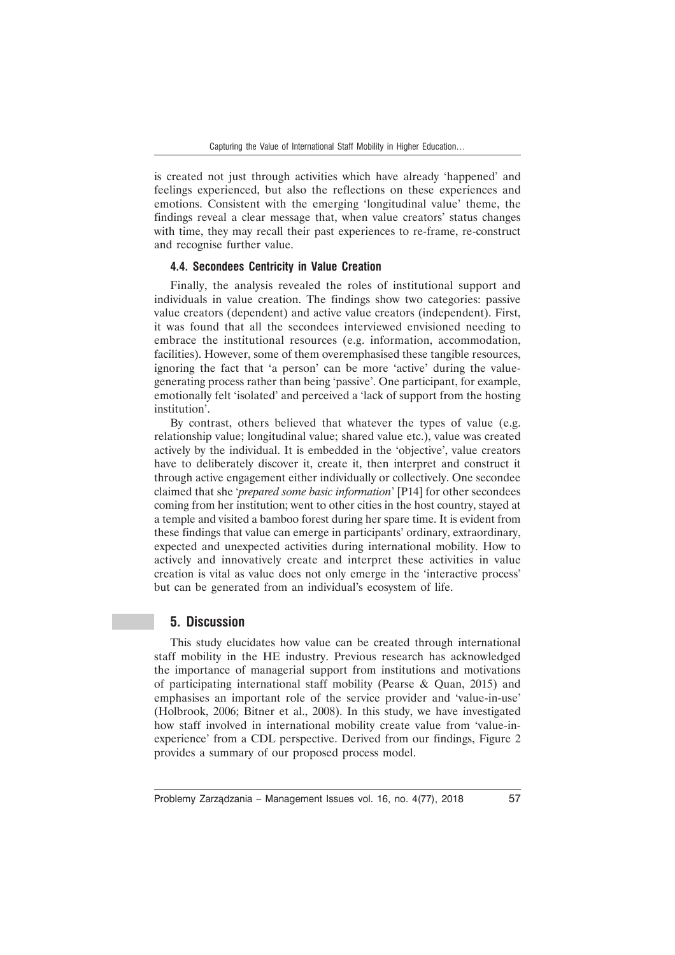is created not just through activities which have already 'happened' and feelings experienced, but also the reflections on these experiences and emotions. Consistent with the emerging 'longitudinal value' theme, the findings reveal a clear message that, when value creators' status changes with time, they may recall their past experiences to re-frame, re-construct and recognise further value.

#### **4.4. Secondees Centricity in Value Creation**

Finally, the analysis revealed the roles of institutional support and individuals in value creation. The findings show two categories: passive value creators (dependent) and active value creators (independent). First, it was found that all the secondees interviewed envisioned needing to embrace the institutional resources (e.g. information, accommodation, facilities). However, some of them overemphasised these tangible resources, ignoring the fact that 'a person' can be more 'active' during the valuegenerating process rather than being 'passive'. One participant, for example, emotionally felt 'isolated' and perceived a 'lack of support from the hosting institution'.

By contrast, others believed that whatever the types of value (e.g. relationship value; longitudinal value; shared value etc.), value was created actively by the individual. It is embedded in the 'objective', value creators have to deliberately discover it, create it, then interpret and construct it through active engagement either individually or collectively. One secondee claimed that she '*prepared some basic information*' [P14] for other secondees coming from her institution; went to other cities in the host country, stayed at a temple and visited a bamboo forest during her spare time. It is evident from these findings that value can emerge in participants' ordinary, extraordinary, expected and unexpected activities during international mobility. How to actively and innovatively create and interpret these activities in value creation is vital as value does not only emerge in the 'interactive process' but can be generated from an individual's ecosystem of life.

# **5. Discussion**

This study elucidates how value can be created through international staff mobility in the HE industry. Previous research has acknowledged the importance of managerial support from institutions and motivations of participating international staff mobility (Pearse & Quan, 2015) and emphasises an important role of the service provider and 'value-in-use' (Holbrook, 2006; Bitner et al., 2008). In this study, we have investigated how staff involved in international mobility create value from 'value-inexperience' from a CDL perspective. Derived from our findings, Figure 2 provides a summary of our proposed process model.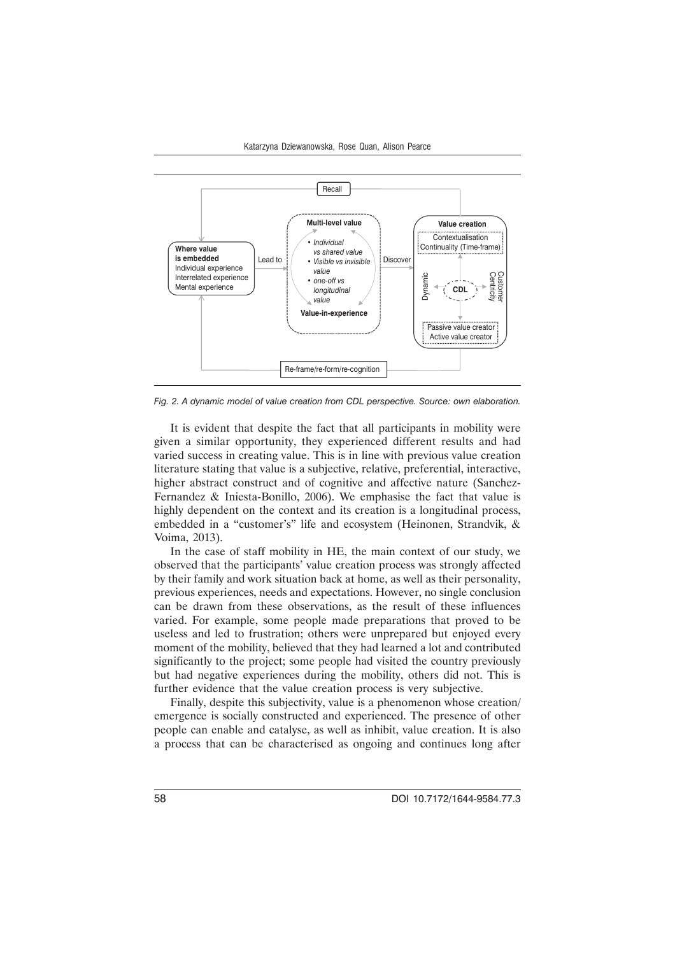

*Fig. 2. A dynamic model of value creation from CDL perspective. Source: own elaboration.*

It is evident that despite the fact that all participants in mobility were given a similar opportunity, they experienced different results and had varied success in creating value. This is in line with previous value creation literature stating that value is a subjective, relative, preferential, interactive, higher abstract construct and of cognitive and affective nature (Sanchez-Fernandez & Iniesta-Bonillo, 2006). We emphasise the fact that value is highly dependent on the context and its creation is a longitudinal process, embedded in a "customer's" life and ecosystem (Heinonen, Strandvik, & Voima, 2013).

In the case of staff mobility in HE, the main context of our study, we observed that the participants' value creation process was strongly affected by their family and work situation back at home, as well as their personality, previous experiences, needs and expectations. However, no single conclusion can be drawn from these observations, as the result of these influences varied. For example, some people made preparations that proved to be useless and led to frustration; others were unprepared but enjoyed every moment of the mobility, believed that they had learned a lot and contributed significantly to the project; some people had visited the country previously but had negative experiences during the mobility, others did not. This is further evidence that the value creation process is very subjective.

Finally, despite this subjectivity, value is a phenomenon whose creation/ emergence is socially constructed and experienced. The presence of other people can enable and catalyse, as well as inhibit, value creation. It is also a process that can be characterised as ongoing and continues long after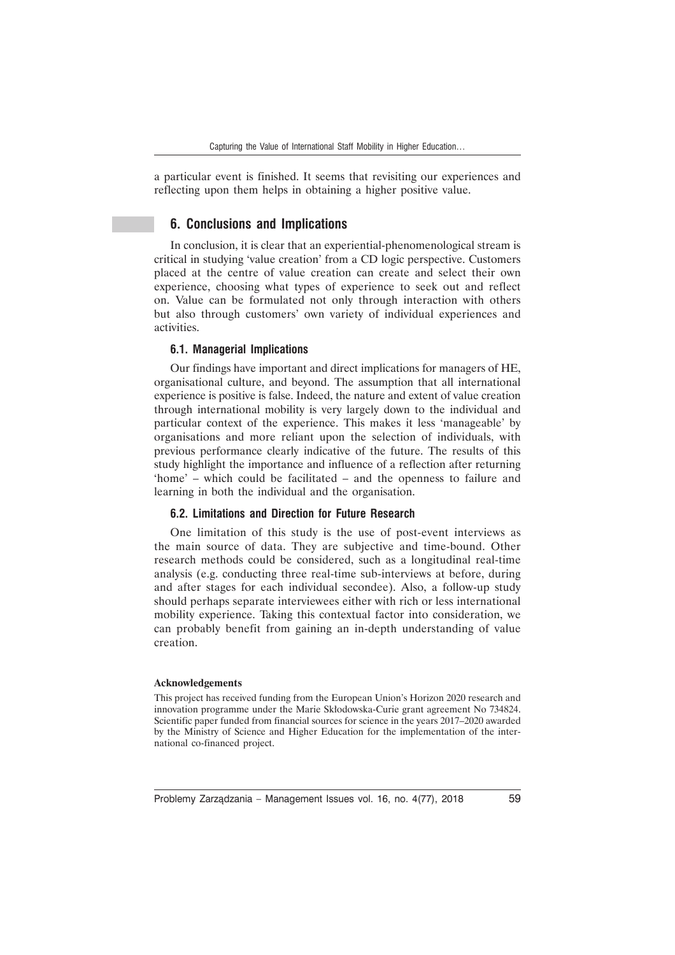a particular event is finished. It seems that revisiting our experiences and reflecting upon them helps in obtaining a higher positive value.

# **6. Conclusions and Implications**

In conclusion, it is clear that an experiential-phenomenological stream is critical in studying 'value creation' from a CD logic perspective. Customers placed at the centre of value creation can create and select their own experience, choosing what types of experience to seek out and reflect on. Value can be formulated not only through interaction with others but also through customers' own variety of individual experiences and activities.

#### **6.1. Managerial Implications**

Our findings have important and direct implications for managers of HE, organisational culture, and beyond. The assumption that all international experience is positive is false. Indeed, the nature and extent of value creation through international mobility is very largely down to the individual and particular context of the experience. This makes it less 'manageable' by organisations and more reliant upon the selection of individuals, with previous performance clearly indicative of the future. The results of this study highlight the importance and influence of a reflection after returning 'home' – which could be facilitated – and the openness to failure and learning in both the individual and the organisation.

### **6.2. Limitations and Direction for Future Research**

One limitation of this study is the use of post-event interviews as the main source of data. They are subjective and time-bound. Other research methods could be considered, such as a longitudinal real-time analysis (e.g. conducting three real-time sub-interviews at before, during and after stages for each individual secondee). Also, a follow-up study should perhaps separate interviewees either with rich or less international mobility experience. Taking this contextual factor into consideration, we can probably benefit from gaining an in-depth understanding of value creation.

#### **Acknowledgements**

This project has received funding from the European Union's Horizon 2020 research and innovation programme under the Marie Skłodowska-Curie grant agreement No 734824. Scientific paper funded from financial sources for science in the years 2017–2020 awarded by the Ministry of Science and Higher Education for the implementation of the international co-financed project.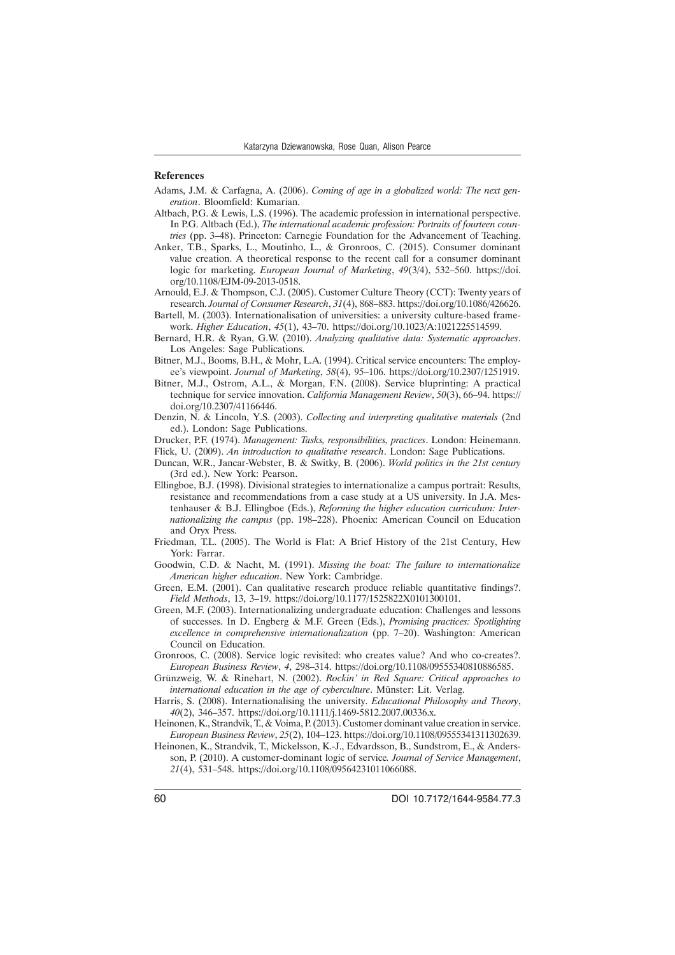#### **References**

- Adams, J.M. & Carfagna, A. (2006). *Coming of age in a globalized world: The next generation*. Bloomfield: Kumarian.
- Altbach, P.G. & Lewis, L.S. (1996). The academic profession in international perspective. In P.G. Altbach (Ed.), *The international academic profession: Portraits of fourteen countries* (pp. 3–48). Princeton: Carnegie Foundation for the Advancement of Teaching.
- Anker, T.B., Sparks, L., Moutinho, L., & Gronroos, C. (2015). Consumer dominant value creation. A theoretical response to the recent call for a consumer dominant logic for marketing. *European Journal of Marketing*, *49*(3/4), 532–560. https://doi. org/10.1108/EJM-09-2013-0518.
- Arnould, E.J. & Thompson, C.J. (2005). Customer Culture Theory (CCT): Twenty years of research. *Journal of Consumer Research*, *31*(4), 868–883. https://doi.org/10.1086/426626.
- Bartell, M. (2003). Internationalisation of universities: a university culture-based framework. *Higher Education*, *45*(1), 43–70. https://doi.org/10.1023/A:1021225514599.
- Bernard, H.R. & Ryan, G.W. (2010). *Analyzing qualitative data: Systematic approaches*. Los Angeles: Sage Publications.
- Bitner, M.J., Booms, B.H., & Mohr, L.A. (1994). Critical service encounters: The employee's viewpoint. *Journal of Marketing*, *58*(4), 95–106. https://doi.org/10.2307/1251919.
- Bitner, M.J., Ostrom, A.L., & Morgan, F.N. (2008). Service bluprinting: A practical technique for service innovation. *California Management Review*, *50*(3), 66–94. https:// doi.org/10.2307/41166446.
- Denzin, N. & Lincoln, Y.S. (2003). *Collecting and interpreting qualitative materials* (2nd ed.). London: Sage Publications.
- Drucker, P.F. (1974). *Management: Tasks, responsibilities, practices*. London: Heinemann.
- Flick, U. (2009). *An introduction to qualitative research*. London: Sage Publications.
- Duncan, W.R., Jancar-Webster, B. & Switky, B. (2006). *World politics in the 21st century* (3rd ed.). New York: Pearson.
- Ellingboe, B.J. (1998). Divisional strategies to internationalize a campus portrait: Results, resistance and recommendations from a case study at a US university. In J.A. Mestenhauser & B.J. Ellingboe (Eds.), *Reforming the higher education curriculum: Internationalizing the campus* (pp. 198–228). Phoenix: American Council on Education and Oryx Press.
- Friedman, T.L. (2005). The World is Flat: A Brief History of the 21st Century, Hew York: Farrar.
- Goodwin, C.D. & Nacht, M. (1991). *Missing the boat: The failure to internationalize American higher education*. New York: Cambridge.
- Green, E.M. (2001). Can qualitative research produce reliable quantitative findings?. *Field Methods*, 13, 3–19. https://doi.org/10.1177/1525822X0101300101.
- Green, M.F. (2003). Internationalizing undergraduate education: Challenges and lessons of successes. In D. Engberg & M.F. Green (Eds.), *Promising practices: Spotlighting excellence in comprehensive internationalization* (pp. 7–20). Washington: American Council on Education.
- Gronroos, C. (2008). Service logic revisited: who creates value? And who co-creates?. *European Business Review*, *4*, 298–314. https://doi.org/10.1108/09555340810886585.
- Grünzweig, W. & Rinehart, N. (2002). *Rockin' in Red Square: Critical approaches to international education in the age of cyberculture*. Münster: Lit. Verlag.
- Harris, S. (2008). Internationalising the university. *Educational Philosophy and Theory*, *40*(2), 346–357. https://doi.org/10.1111/j.1469-5812.2007.00336.x.
- Heinonen, K., Strandvik, T., & Voima, P. (2013). Customer dominant value creation in service. *European Business Review*, *25*(2), 104–123. https://doi.org/10.1108/09555341311302639.
- Heinonen, K., Strandvik, T., Mickelsson, K.-J., Edvardsson, B., Sundstrom, E., & Andersson, P. (2010). A customer-dominant logic of service*. Journal of Service Management*, *21*(4), 531–548. https://doi.org/10.1108/09564231011066088.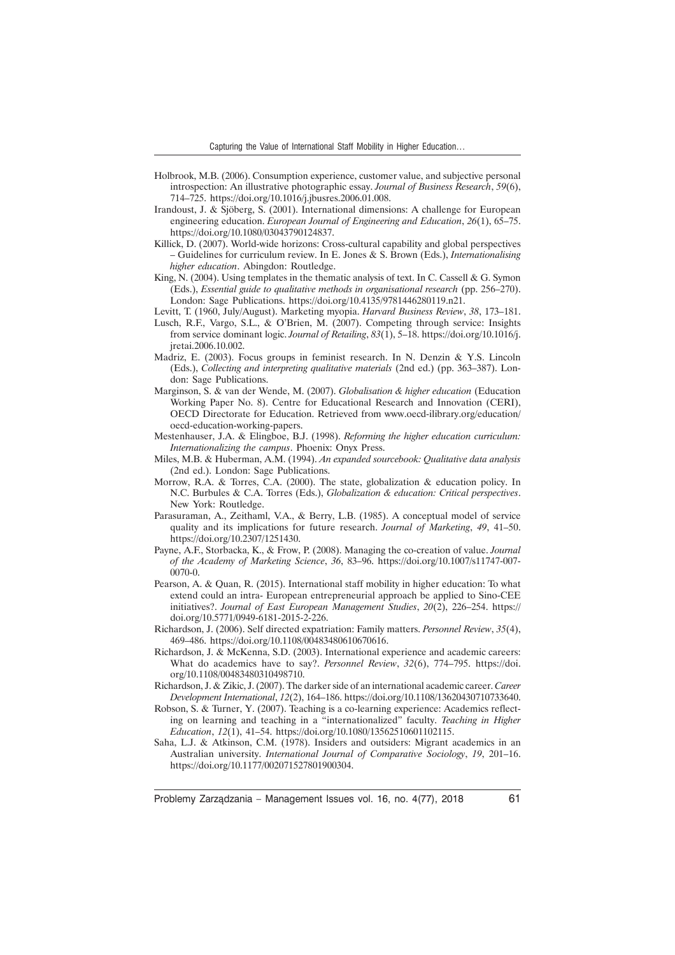- Holbrook, M.B. (2006). Consumption experience, customer value, and subjective personal introspection: An illustrative photographic essay. *Journal of Business Research*, *59*(6), 714–725. https://doi.org/10.1016/j.jbusres.2006.01.008.
- Irandoust, J. & Sjöberg, S. (2001). International dimensions: A challenge for European engineering education. *European Journal of Engineering and Education*, *26*(1), 65–75. https://doi.org/10.1080/03043790124837.
- Killick, D. (2007). World-wide horizons: Cross-cultural capability and global perspectives – Guidelines for curriculum review. In E. Jones & S. Brown (Eds.), *Internationalising higher education*. Abingdon: Routledge.
- King, N. (2004). Using templates in the thematic analysis of text. In C. Cassell & G. Symon (Eds.), *Essential guide to qualitative methods in organisational research* (pp. 256–270). London: Sage Publications. https://doi.org/10.4135/9781446280119.n21.
- Levitt, T. (1960, July/August). Marketing myopia. *Harvard Business Review*, *38*, 173–181.
- Lusch, R.F., Vargo, S.L., & O'Brien, M. (2007). Competing through service: Insights from service dominant logic. *Journal of Retailing*, *83*(1), 5–18. https://doi.org/10.1016/j. jretai.2006.10.002.
- Madriz, E. (2003). Focus groups in feminist research. In N. Denzin & Y.S. Lincoln (Eds.), *Collecting and interpreting qualitative materials* (2nd ed.) (pp. 363–387). London: Sage Publications.
- Marginson, S. & van der Wende, M. (2007). *Globalisation & higher education* (Education Working Paper No. 8). Centre for Educational Research and Innovation (CERI), OECD Directorate for Education. Retrieved from www.oecd-ilibrary.org/education/ oecd-education-working-papers.
- Mestenhauser, J.A. & Elingboe, B.J. (1998). *Reforming the higher education curriculum: Internationalizing the campus*. Phoenix: Onyx Press.
- Miles, M.B. & Huberman, A.M. (1994). *An expanded sourcebook: Qualitative data analysis* (2nd ed.). London: Sage Publications.
- Morrow, R.A. & Torres, C.A. (2000). The state, globalization & education policy. In N.C. Burbules & C.A. Torres (Eds.), *Globalization & education: Critical perspectives*. New York: Routledge.
- Parasuraman, A., Zeithaml, V.A., & Berry, L.B. (1985). A conceptual model of service quality and its implications for future research. *Journal of Marketing*, *49*, 41–50. https://doi.org/10.2307/1251430.
- Payne, A.F., Storbacka, K., & Frow, P. (2008). Managing the co-creation of value. *Journal of the Academy of Marketing Science*, *36*, 83–96. https://doi.org/10.1007/s11747-007- 0070-0.
- Pearson, A. & Quan, R. (2015). International staff mobility in higher education: To what extend could an intra- European entrepreneurial approach be applied to Sino-CEE initiatives?. *Journal of East European Management Studies*, *20*(2), 226–254. https:// doi.org/10.5771/0949-6181-2015-2-226.
- Richardson, J. (2006). Self directed expatriation: Family matters. *Personnel Review*, *35*(4), 469–486. https://doi.org/10.1108/00483480610670616.
- Richardson, J. & McKenna, S.D. (2003). International experience and academic careers: What do academics have to say?. *Personnel Review*, *32*(6), 774–795. https://doi. org/10.1108/00483480310498710.
- Richardson, J. & Zikic, J. (2007). The darker side of an international academic career. *Career Development International*, *12*(2), 164–186. https://doi.org/10.1108/13620430710733640.
- Robson, S. & Turner, Y. (2007). Teaching is a co-learning experience: Academics reflecting on learning and teaching in a "internationalized" faculty. *Teaching in Higher Education*, *12*(1), 41–54. https://doi.org/10.1080/13562510601102115.
- Saha, L.J. & Atkinson, C.M. (1978). Insiders and outsiders: Migrant academics in an Australian university. *International Journal of Comparative Sociology*, *19*, 201–16. https://doi.org/10.1177/002071527801900304.

Problemy Zarządzania – Management Issues vol. 16, no. 4(77), 2018 61